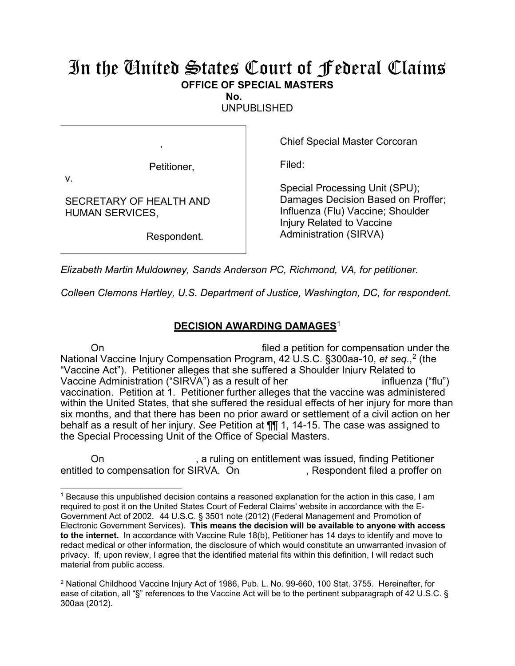## In the United States Court of Federal Claims **OFFICE OF SPECIAL MASTERS**

**No.** 

UNPUBLISHED

Petitioner,

,

Chief Special Master Corcoran

Filed:

v.

SECRETARY OF HEALTH AND HUMAN SERVICES,

Respondent.

Special Processing Unit (SPU); Damages Decision Based on Proffer; Influenza (Flu) Vaccine; Shoulder Injury Related to Vaccine Administration (SIRVA)

*Elizabeth Martin Muldowney, Sands Anderson PC, Richmond, VA, for petitioner.*

*Colleen Clemons Hartley, U.S. Department of Justice, Washington, DC, for respondent.*

## **DECISION AWARDING DAMAGES**<sup>1</sup>

On filed a petition for compensation under the National Vaccine Injury Compensation Program, 42 U.S.C. §300aa-10, *et seq.*, <sup>2</sup> (the "Vaccine Act"). Petitioner alleges that she suffered a Shoulder Injury Related to Vaccine Administration ("SIRVA") as a result of her influenza ("flu") vaccination. Petition at 1. Petitioner further alleges that the vaccine was administered within the United States, that she suffered the residual effects of her injury for more than six months, and that there has been no prior award or settlement of a civil action on her behalf as a result of her injury. *See* Petition at ¶¶ 1, 14-15. The case was assigned to the Special Processing Unit of the Office of Special Masters.

On **Con** 6. A ruling on entitlement was issued, finding Petitioner entitled to compensation for SIRVA. On , Respondent filed a proffer on

 $\overline{a}$ <sup>1</sup> Because this unpublished decision contains a reasoned explanation for the action in this case, I am required to post it on the United States Court of Federal Claims' website in accordance with the E-Government Act of 2002. 44 U.S.C. § 3501 note (2012) (Federal Management and Promotion of Electronic Government Services). **This means the decision will be available to anyone with access to the internet.** In accordance with Vaccine Rule 18(b), Petitioner has 14 days to identify and move to redact medical or other information, the disclosure of which would constitute an unwarranted invasion of privacy. If, upon review, I agree that the identified material fits within this definition, I will redact such material from public access.

<sup>2</sup> National Childhood Vaccine Injury Act of 1986, Pub. L. No. 99-660, 100 Stat. 3755. Hereinafter, for ease of citation, all "§" references to the Vaccine Act will be to the pertinent subparagraph of 42 U.S.C. § 300aa (2012).